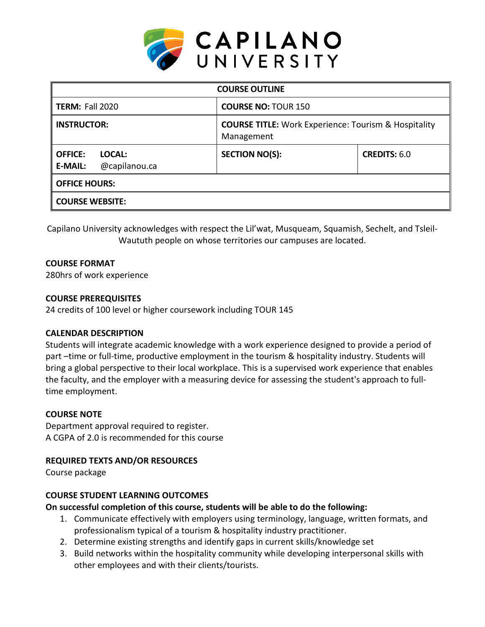

| <b>COURSE OUTLINE</b>                                       |                                                                           |                     |
|-------------------------------------------------------------|---------------------------------------------------------------------------|---------------------|
| <b>TERM: Fall 2020</b>                                      | <b>COURSE NO: TOUR 150</b>                                                |                     |
| <b>INSTRUCTOR:</b>                                          | <b>COURSE TITLE:</b> Work Experience: Tourism & Hospitality<br>Management |                     |
| <b>OFFICE:</b><br>LOCAL:<br><b>E-MAIL:</b><br>@capilanou.ca | <b>SECTION NO(S):</b>                                                     | <b>CREDITS: 6.0</b> |
| <b>OFFICE HOURS:</b>                                        |                                                                           |                     |
| <b>COURSE WEBSITE:</b>                                      |                                                                           |                     |

Capilano University acknowledges with respect the Lil'wat, Musqueam, Squamish, Sechelt, and Tsleil-Waututh people on whose territories our campuses are located.

## **COURSE FORMAT**

280hrs of work experience

## **COURSE PREREQUISITES**

24 credits of 100 level or higher coursework including TOUR 145

# **CALENDAR DESCRIPTION**

Students will integrate academic knowledge with a work experience designed to provide a period of part –time or full-time, productive employment in the tourism & hospitality industry. Students will bring a global perspective to their local workplace. This is a supervised work experience that enables the faculty, and the employer with a measuring device for assessing the student's approach to fulltime employment.

## **COURSE NOTE**

Department approval required to register. A CGPA of 2.0 is recommended for this course

# **REQUIRED TEXTS AND/OR RESOURCES**

Course package

# **COURSE STUDENT LEARNING OUTCOMES**

**On successful completion of this course, students will be able to do the following:**

- 1. Communicate effectively with employers using terminology, language, written formats, and professionalism typical of a tourism & hospitality industry practitioner.
- 2. Determine existing strengths and identify gaps in current skills/knowledge set
- 3. Build networks within the hospitality community while developing interpersonal skills with other employees and with their clients/tourists.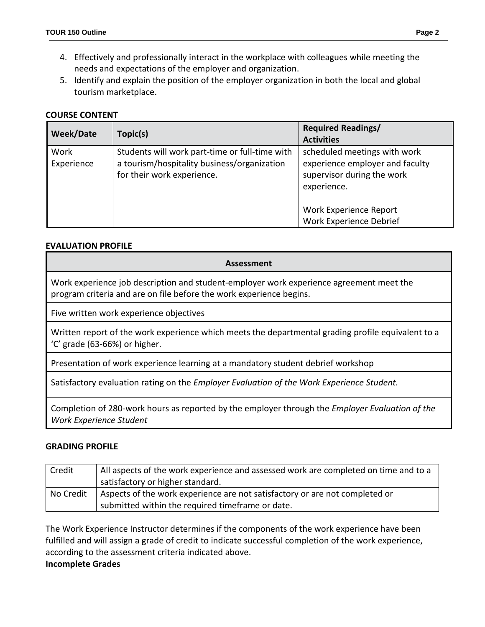- 4. Effectively and professionally interact in the workplace with colleagues while meeting the needs and expectations of the employer and organization.
- 5. Identify and explain the position of the employer organization in both the local and global tourism marketplace.

## **COURSE CONTENT**

| <b>Week/Date</b>   | Topic(s)                                                                                                                    | <b>Required Readings/</b><br><b>Activities</b>                                                                                                                                  |
|--------------------|-----------------------------------------------------------------------------------------------------------------------------|---------------------------------------------------------------------------------------------------------------------------------------------------------------------------------|
| Work<br>Experience | Students will work part-time or full-time with<br>a tourism/hospitality business/organization<br>for their work experience. | scheduled meetings with work<br>experience employer and faculty<br>supervisor during the work<br>experience.<br><b>Work Experience Report</b><br><b>Work Experience Debrief</b> |

#### **EVALUATION PROFILE**

#### **Assessment**

Work experience job description and student-employer work experience agreement meet the program criteria and are on file before the work experience begins.

Five written work experience objectives

Written report of the work experience which meets the departmental grading profile equivalent to a 'C' grade (63-66%) or higher.

Presentation of work experience learning at a mandatory student debrief workshop

Satisfactory evaluation rating on the *Employer Evaluation of the Work Experience Student.*

Completion of 280-work hours as reported by the employer through the *Employer Evaluation of the Work Experience Student*

#### **GRADING PROFILE**

| Credit    | All aspects of the work experience and assessed work are completed on time and to a |
|-----------|-------------------------------------------------------------------------------------|
|           | satisfactory or higher standard.                                                    |
| No Credit | Aspects of the work experience are not satisfactory or are not completed or         |
|           | submitted within the required timeframe or date.                                    |

The Work Experience Instructor determines if the components of the work experience have been fulfilled and will assign a grade of credit to indicate successful completion of the work experience, according to the assessment criteria indicated above.

#### **Incomplete Grades**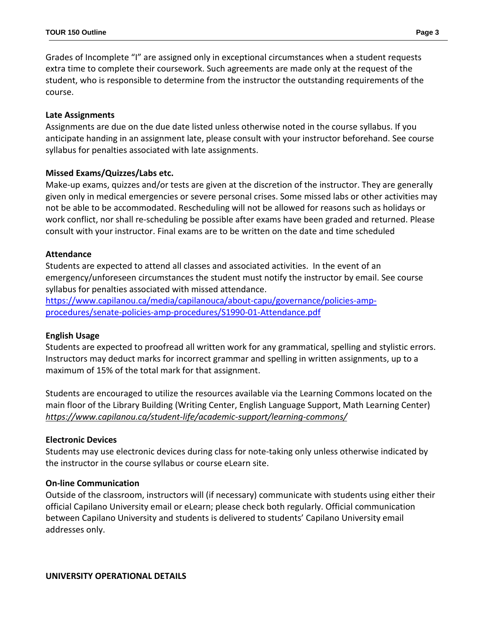Grades of Incomplete "I" are assigned only in exceptional circumstances when a student requests extra time to complete their coursework. Such agreements are made only at the request of the student, who is responsible to determine from the instructor the outstanding requirements of the course.

## **Late Assignments**

Assignments are due on the due date listed unless otherwise noted in the course syllabus. If you anticipate handing in an assignment late, please consult with your instructor beforehand. See course syllabus for penalties associated with late assignments.

## **Missed Exams/Quizzes/Labs etc.**

Make-up exams, quizzes and/or tests are given at the discretion of the instructor. They are generally given only in medical emergencies or severe personal crises. Some missed labs or other activities may not be able to be accommodated. Rescheduling will not be allowed for reasons such as holidays or work conflict, nor shall re-scheduling be possible after exams have been graded and returned. Please consult with your instructor. Final exams are to be written on the date and time scheduled

## **Attendance**

Students are expected to attend all classes and associated activities. In the event of an emergency/unforeseen circumstances the student must notify the instructor by email. See course syllabus for penalties associated with missed attendance.

[https://www.capilanou.ca/media/capilanouca/about-capu/governance/policies-amp](https://www.capilanou.ca/media/capilanouca/about-capu/governance/policies-amp-procedures/senate-policies-amp-procedures/S1990-01-Attendance.pdf)[procedures/senate-policies-amp-procedures/S1990-01-Attendance.pdf](https://www.capilanou.ca/media/capilanouca/about-capu/governance/policies-amp-procedures/senate-policies-amp-procedures/S1990-01-Attendance.pdf)

# **English Usage**

Students are expected to proofread all written work for any grammatical, spelling and stylistic errors. Instructors may deduct marks for incorrect grammar and spelling in written assignments, up to a maximum of 15% of the total mark for that assignment.

Students are encouraged to utilize the resources available via the Learning Commons located on the main floor of the Library Building (Writing Center, English Language Support, Math Learning Center) *<https://www.capilanou.ca/student-life/academic-support/learning-commons/>*

## **Electronic Devices**

Students may use electronic devices during class for note-taking only unless otherwise indicated by the instructor in the course syllabus or course eLearn site.

## **On-line Communication**

Outside of the classroom, instructors will (if necessary) communicate with students using either their official Capilano University email or eLearn; please check both regularly. Official communication between Capilano University and students is delivered to students' Capilano University email addresses only.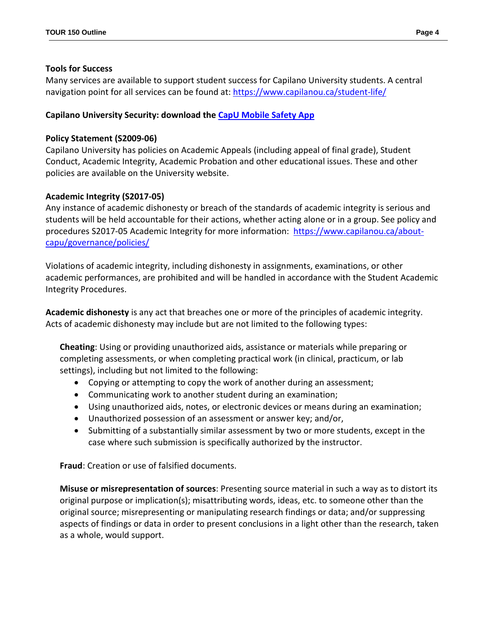#### **Tools for Success**

Many services are available to support student success for Capilano University students. A central navigation point for all services can be found at:<https://www.capilanou.ca/student-life/>

## **Capilano University Security: download the [CapU Mobile Safety App](https://www.capilanou.ca/student-life/support--wellness/safety--security/capu-safe-app/)**

## **Policy Statement (S2009-06)**

Capilano University has policies on Academic Appeals (including appeal of final grade), Student Conduct, Academic Integrity, Academic Probation and other educational issues. These and other policies are available on the University website.

## **Academic Integrity (S2017-05)**

Any instance of academic dishonesty or breach of the standards of academic integrity is serious and students will be held accountable for their actions, whether acting alone or in a group. See policy and procedures S2017-05 Academic Integrity for more information: [https://www.capilanou.ca/about](https://www.capilanou.ca/about-capu/governance/policies/)[capu/governance/policies/](https://www.capilanou.ca/about-capu/governance/policies/)

Violations of academic integrity, including dishonesty in assignments, examinations, or other academic performances, are prohibited and will be handled in accordance with the Student Academic Integrity Procedures.

**Academic dishonesty** is any act that breaches one or more of the principles of academic integrity. Acts of academic dishonesty may include but are not limited to the following types:

**Cheating**: Using or providing unauthorized aids, assistance or materials while preparing or completing assessments, or when completing practical work (in clinical, practicum, or lab settings), including but not limited to the following:

- Copying or attempting to copy the work of another during an assessment;
- Communicating work to another student during an examination;
- Using unauthorized aids, notes, or electronic devices or means during an examination;
- Unauthorized possession of an assessment or answer key; and/or,
- Submitting of a substantially similar assessment by two or more students, except in the case where such submission is specifically authorized by the instructor.

**Fraud**: Creation or use of falsified documents.

**Misuse or misrepresentation of sources**: Presenting source material in such a way as to distort its original purpose or implication(s); misattributing words, ideas, etc. to someone other than the original source; misrepresenting or manipulating research findings or data; and/or suppressing aspects of findings or data in order to present conclusions in a light other than the research, taken as a whole, would support.